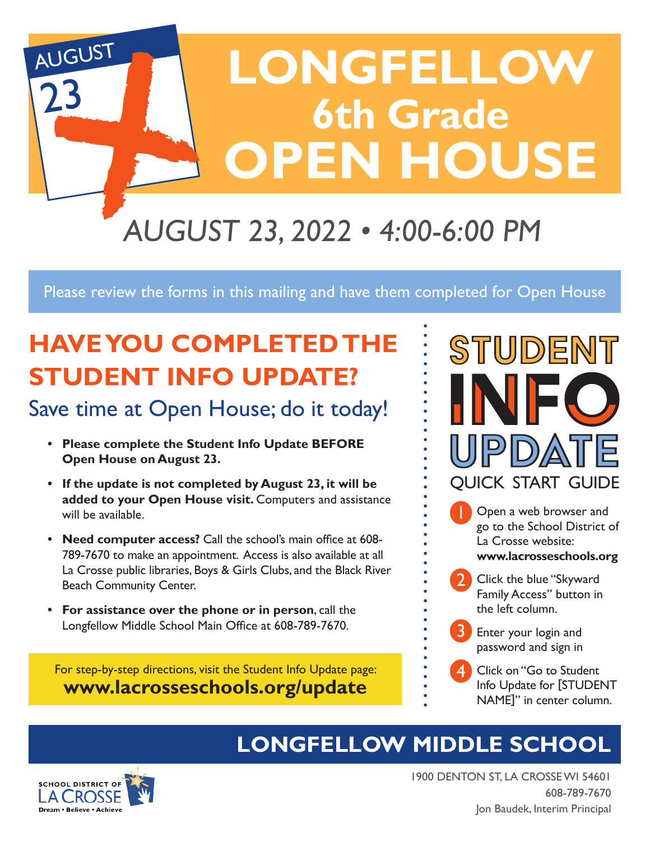

Please review the forms in this mailing and have them completed for Open House

# **HAVE YOU COMPLETED THE STUDENT INFO UPDATE?**

# Save time at Open House; do it today!

- **• Please complete the Student Info Update BEFORE Open House on August 23.**
- **• If the update is not completed by August 23, it will be added to your Open House visit.** Computers and assistance will be available.
- **• Need computer access?** Call the school's main office at 608- 789-7670 to make an appointment. Access is also available at all La Crosse public libraries, Boys & Girls Clubs, and the Black River Beach Community Center.
- **• For assistance over the phone or in person**, call the Longfellow Middle School Main Office at 608-789-7670.

For step-by-step directions, visit the Student Info Update page: **www.lacrosseschools.org/update**



- Open a web browser and go to the School District of La Crosse website: **www.lacrosseschools.org** 1
- Click the blue "Skyward Family Access" button in the left column. 2
- Enter your login and password and sign in 3
- 4. Click on "Go to Student Info Update for [STUDENT NAME]" in center column. 4

# **LONGFELLOW MIDDLE SCHOOL**



1900 DENTON ST, LA CROSSE WI 54601 608-789-7670 Jon Baudek, Interim Principal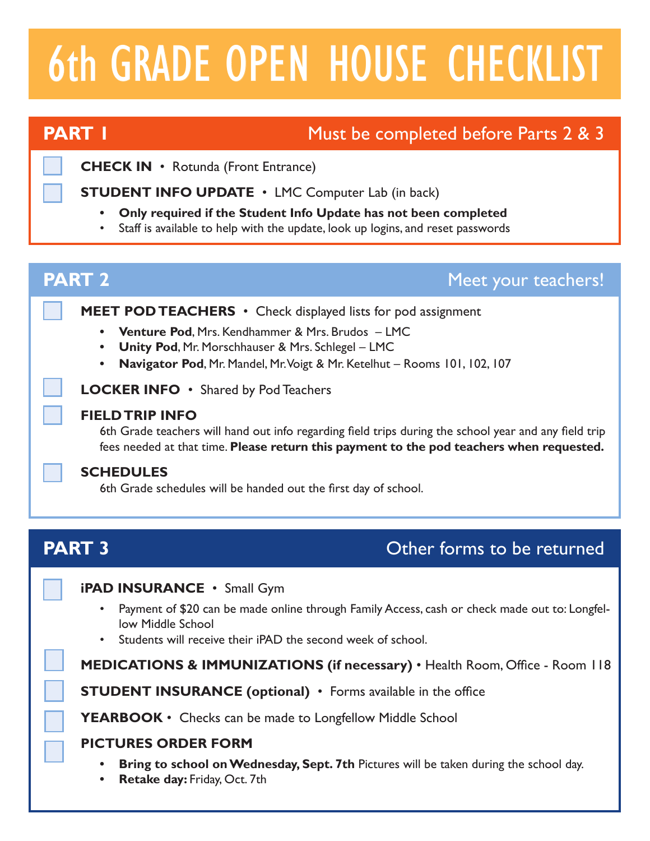# 6th GRADE OPEN HOUSE CHECKLIST

# **PART 1** Must be completed before Parts 2 & 3

**CHECK IN** • Rotunda (Front Entrance)

**STUDENT INFO UPDATE** • LMC Computer Lab (in back)

- **• Only required if the Student Info Update has not been completed**
- Staff is available to help with the update, look up logins, and reset passwords

| Meet your teachers!                                                                                                                                                                                                                                                  |
|----------------------------------------------------------------------------------------------------------------------------------------------------------------------------------------------------------------------------------------------------------------------|
| <b>MEET POD TEACHERS</b> • Check displayed lists for pod assignment<br><b>Venture Pod, Mrs. Kendhammer &amp; Mrs. Brudos - LMC</b><br>Unity Pod, Mr. Morschhauser & Mrs. Schlegel - LMC<br>Navigator Pod, Mr. Mandel, Mr. Voigt & Mr. Ketelhut - Rooms 101, 102, 107 |
| LOCKER INFO • Shared by Pod Teachers                                                                                                                                                                                                                                 |
| 6th Grade teachers will hand out info regarding field trips during the school year and any field trip<br>fees needed at that time. Please return this payment to the pod teachers when requested.                                                                    |
| 6th Grade schedules will be handed out the first day of school.                                                                                                                                                                                                      |
| Other forms to be returned                                                                                                                                                                                                                                           |
|                                                                                                                                                                                                                                                                      |
|                                                                                                                                                                                                                                                                      |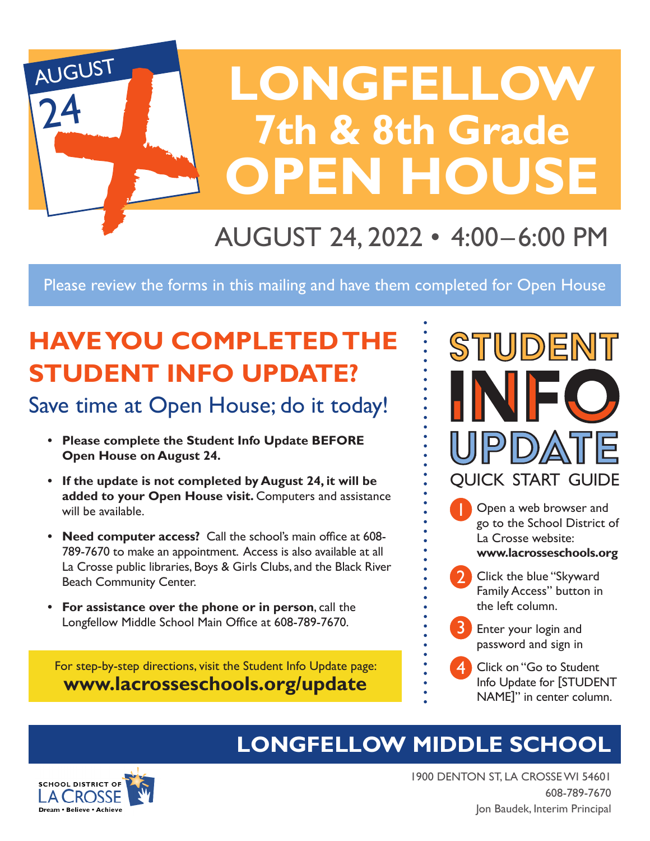

Please review the forms in this mailing and have them completed for Open House

# **HAVE YOU COMPLETED THE STUDENT INFO UPDATE?**

# Save time at Open House; do it today!

- **• Please complete the Student Info Update BEFORE Open House on August 24.**
- **• If the update is not completed by August 24, it will be added to your Open House visit.** Computers and assistance will be available.
- **• Need computer access?** Call the school's main office at 608- 789-7670 to make an appointment. Access is also available at all La Crosse public libraries, Boys & Girls Clubs, and the Black River Beach Community Center.
- **• For assistance over the phone or in person**, call the Longfellow Middle School Main Office at 608-789-7670.

For step-by-step directions, visit the Student Info Update page: **www.lacrosseschools.org/update**



- Open a web browser and go to the School District of La Crosse website: **www.lacrosseschools.org** 1
- Click the blue "Skyward Family Access" button in the left column. 2
- Enter your login and password and sign in 3
- 4. Click on "Go to Student Info Update for [STUDENT NAME]" in center column. 4

# **LONGFELLOW MIDDLE SCHOOL**



1900 DENTON ST, LA CROSSE WI 54601 608-789-7670 Jon Baudek, Interim Principal